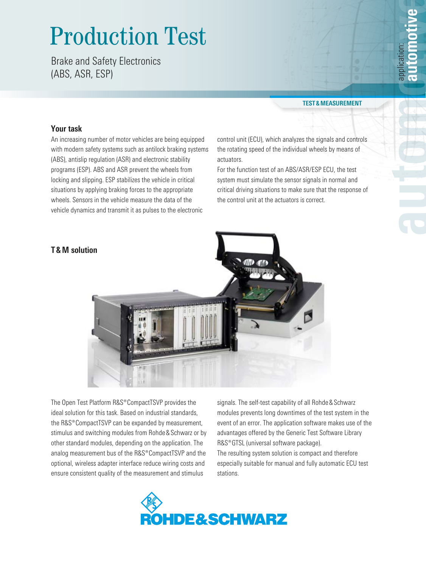# Production Test

Brake and Safety Electronics (ABS, ASR, ESP)

#### **Test & Measurement**

## **Your task**

An increasing number of motor vehicles are being equipped with modern safety systems such as antilock braking systems (ABS), antislip regulation (ASR) and electronic stability programs (ESP). ABS and ASR prevent the wheels from locking and slipping. ESP stabilizes the vehicle in critical situations by applying braking forces to the appropriate wheels. Sensors in the vehicle measure the data of the vehicle dynamics and transmit it as pulses to the electronic

control unit (ECU), which analyzes the signals and controls the rotating speed of the individual wheels by means of actuators.

For the function test of an ABS/ASR/ESP ECU, the test system must simulate the sensor signals in normal and critical driving situations to make sure that the response of the control unit at the actuators is correct.



The Open Test Platform R&S®CompactTSVP provides the ideal solution for this task. Based on industrial standards, the R&S®CompactTSVP can be expanded by measurement, stimulus and switching modules from Rohde & Schwarz or by other standard modules, depending on the application. The analog measurement bus of the R&S®CompactTSVP and the optional, wireless adapter interface reduce wiring costs and ensure consistent quality of the measurement and stimulus

signals. The self-test capability of all Rohde & Schwarz modules prevents long downtimes of the test system in the event of an error. The application software makes use of the advantages offered by the Generic Test Software Library R&S<sup>®</sup>GTSL (universal software package). The resulting system solution is compact and therefore especially suitable for manual and fully automatic ECU test stations.



### **T & M solution**